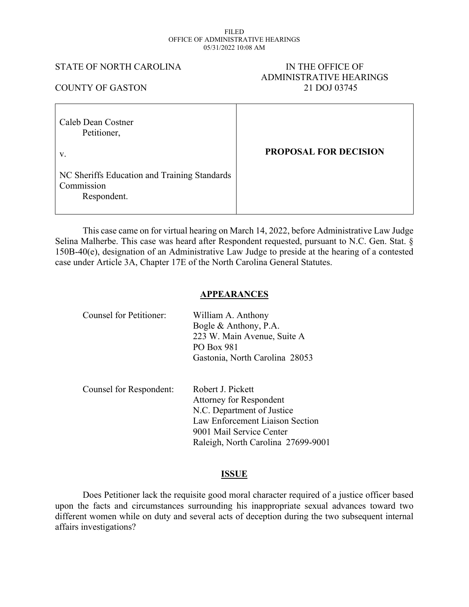#### FILED OFFICE OF ADMINISTRATIVE HEARINGS 05/31/2022 10:08 AM

#### STATE OF NORTH CAROLINA IN THE OFFICE OF

# ADMINISTRATIVE HEARINGS COUNTY OF GASTON 21 DOJ 03745

| Caleb Dean Costner<br>Petitioner,                                         |                              |
|---------------------------------------------------------------------------|------------------------------|
| V.                                                                        | <b>PROPOSAL FOR DECISION</b> |
| NC Sheriffs Education and Training Standards<br>Commission<br>Respondent. |                              |

This case came on for virtual hearing on March 14, 2022, before Administrative Law Judge Selina Malherbe. This case was heard after Respondent requested, pursuant to N.C. Gen. Stat. § 150B-40(e), designation of an Administrative Law Judge to preside at the hearing of a contested case under Article 3A, Chapter 17E of the North Carolina General Statutes.

#### **APPEARANCES**

| Counsel for Petitioner: | William A. Anthony<br>Bogle $\&$ Anthony, P.A.<br>223 W. Main Avenue, Suite A<br><b>PO Box 981</b><br>Gastonia, North Carolina 28053                                            |
|-------------------------|---------------------------------------------------------------------------------------------------------------------------------------------------------------------------------|
| Counsel for Respondent: | Robert J. Pickett<br>Attorney for Respondent<br>N.C. Department of Justice<br>Law Enforcement Liaison Section<br>9001 Mail Service Center<br>Raleigh, North Carolina 27699-9001 |

#### **ISSUE**

Does Petitioner lack the requisite good moral character required of a justice officer based upon the facts and circumstances surrounding his inappropriate sexual advances toward two different women while on duty and several acts of deception during the two subsequent internal affairs investigations?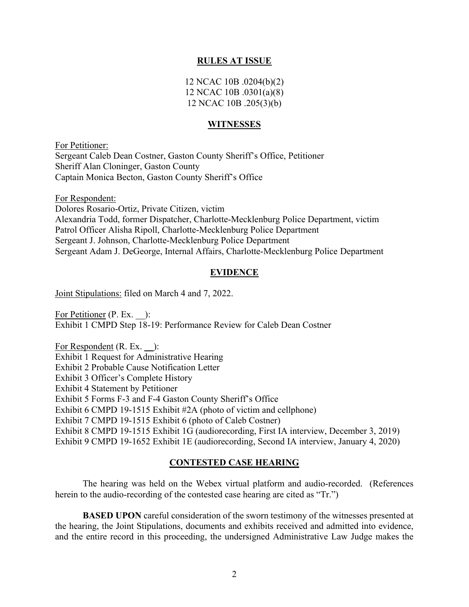#### **RULES AT ISSUE**

12 NCAC 10B .0204(b)(2) 12 NCAC 10B .0301(a)(8) 12 NCAC 10B .205(3)(b)

#### **WITNESSES**

For Petitioner: Sergeant Caleb Dean Costner, Gaston County Sheriff's Office, Petitioner Sheriff Alan Cloninger, Gaston County Captain Monica Becton, Gaston County Sheriff's Office

For Respondent: Dolores Rosario-Ortiz, Private Citizen, victim Alexandria Todd, former Dispatcher, Charlotte-Mecklenburg Police Department, victim Patrol Officer Alisha Ripoll, Charlotte-Mecklenburg Police Department Sergeant J. Johnson, Charlotte-Mecklenburg Police Department Sergeant Adam J. DeGeorge, Internal Affairs, Charlotte-Mecklenburg Police Department

#### **EVIDENCE**

Joint Stipulations: filed on March 4 and 7, 2022.

For Petitioner (P. Ex. ): Exhibit 1 CMPD Step 18-19: Performance Review for Caleb Dean Costner

For Respondent (R. Ex. **\_\_**): Exhibit 1 Request for Administrative Hearing Exhibit 2 Probable Cause Notification Letter Exhibit 3 Officer's Complete History Exhibit 4 Statement by Petitioner Exhibit 5 Forms F-3 and F-4 Gaston County Sheriff's Office Exhibit 6 CMPD 19-1515 Exhibit #2A (photo of victim and cellphone) Exhibit 7 CMPD 19-1515 Exhibit 6 (photo of Caleb Costner) Exhibit 8 CMPD 19-1515 Exhibit 1G (audiorecording, First IA interview, December 3, 2019) Exhibit 9 CMPD 19-1652 Exhibit 1E (audiorecording, Second IA interview, January 4, 2020)

#### **CONTESTED CASE HEARING**

The hearing was held on the Webex virtual platform and audio-recorded. (References herein to the audio-recording of the contested case hearing are cited as "Tr.")

**BASED UPON** careful consideration of the sworn testimony of the witnesses presented at the hearing, the Joint Stipulations, documents and exhibits received and admitted into evidence, and the entire record in this proceeding, the undersigned Administrative Law Judge makes the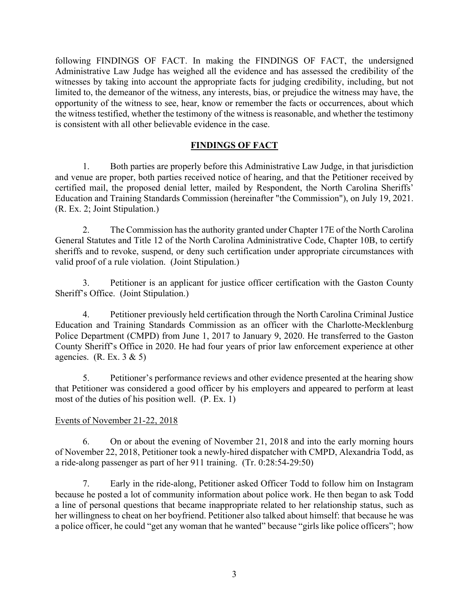following FINDINGS OF FACT. In making the FINDINGS OF FACT, the undersigned Administrative Law Judge has weighed all the evidence and has assessed the credibility of the witnesses by taking into account the appropriate facts for judging credibility, including, but not limited to, the demeanor of the witness, any interests, bias, or prejudice the witness may have, the opportunity of the witness to see, hear, know or remember the facts or occurrences, about which the witness testified, whether the testimony of the witness is reasonable, and whether the testimony is consistent with all other believable evidence in the case.

## **FINDINGS OF FACT**

1. Both parties are properly before this Administrative Law Judge, in that jurisdiction and venue are proper, both parties received notice of hearing, and that the Petitioner received by certified mail, the proposed denial letter, mailed by Respondent, the North Carolina Sheriffs' Education and Training Standards Commission (hereinafter "the Commission"), on July 19, 2021. (R. Ex. 2; Joint Stipulation.)

2. The Commission has the authority granted under Chapter 17E of the North Carolina General Statutes and Title 12 of the North Carolina Administrative Code, Chapter 10B, to certify sheriffs and to revoke, suspend, or deny such certification under appropriate circumstances with valid proof of a rule violation. (Joint Stipulation.)

3. Petitioner is an applicant for justice officer certification with the Gaston County Sheriff's Office. (Joint Stipulation.)

4. Petitioner previously held certification through the North Carolina Criminal Justice Education and Training Standards Commission as an officer with the Charlotte-Mecklenburg Police Department (CMPD) from June 1, 2017 to January 9, 2020. He transferred to the Gaston County Sheriff's Office in 2020. He had four years of prior law enforcement experience at other agencies. (R. Ex.  $3 & 5$ )

5. Petitioner's performance reviews and other evidence presented at the hearing show that Petitioner was considered a good officer by his employers and appeared to perform at least most of the duties of his position well. (P. Ex. 1)

## Events of November 21-22, 2018

6. On or about the evening of November 21, 2018 and into the early morning hours of November 22, 2018, Petitioner took a newly-hired dispatcher with CMPD, Alexandria Todd, as a ride-along passenger as part of her 911 training. (Tr. 0:28:54-29:50)

7. Early in the ride-along, Petitioner asked Officer Todd to follow him on Instagram because he posted a lot of community information about police work. He then began to ask Todd a line of personal questions that became inappropriate related to her relationship status, such as her willingness to cheat on her boyfriend. Petitioner also talked about himself: that because he was a police officer, he could "get any woman that he wanted" because "girls like police officers"; how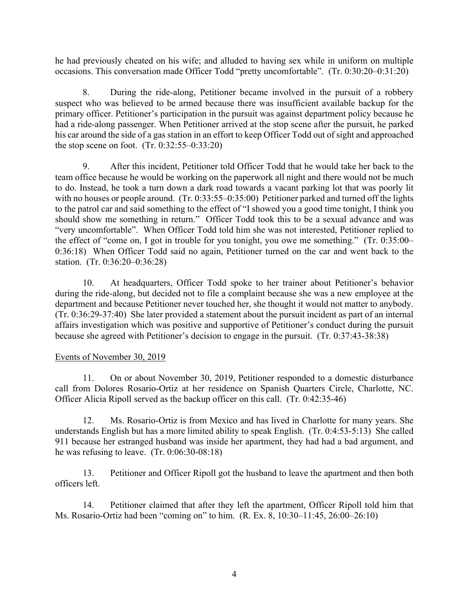he had previously cheated on his wife; and alluded to having sex while in uniform on multiple occasions. This conversation made Officer Todd "pretty uncomfortable". (Tr. 0:30:20–0:31:20)

8. During the ride-along, Petitioner became involved in the pursuit of a robbery suspect who was believed to be armed because there was insufficient available backup for the primary officer. Petitioner's participation in the pursuit was against department policy because he had a ride-along passenger. When Petitioner arrived at the stop scene after the pursuit, he parked his car around the side of a gas station in an effort to keep Officer Todd out of sight and approached the stop scene on foot. (Tr. 0:32:55–0:33:20)

9. After this incident, Petitioner told Officer Todd that he would take her back to the team office because he would be working on the paperwork all night and there would not be much to do. Instead, he took a turn down a dark road towards a vacant parking lot that was poorly lit with no houses or people around. (Tr. 0:33:55–0:35:00) Petitioner parked and turned off the lights to the patrol car and said something to the effect of "I showed you a good time tonight, I think you should show me something in return." Officer Todd took this to be a sexual advance and was "very uncomfortable". When Officer Todd told him she was not interested, Petitioner replied to the effect of "come on, I got in trouble for you tonight, you owe me something." (Tr. 0:35:00– 0:36:18) When Officer Todd said no again, Petitioner turned on the car and went back to the station. (Tr. 0:36:20–0:36:28)

10. At headquarters, Officer Todd spoke to her trainer about Petitioner's behavior during the ride-along, but decided not to file a complaint because she was a new employee at the department and because Petitioner never touched her, she thought it would not matter to anybody. (Tr. 0:36:29-37:40) She later provided a statement about the pursuit incident as part of an internal affairs investigation which was positive and supportive of Petitioner's conduct during the pursuit because she agreed with Petitioner's decision to engage in the pursuit. (Tr. 0:37:43-38:38)

## Events of November 30, 2019

11. On or about November 30, 2019, Petitioner responded to a domestic disturbance call from Dolores Rosario-Ortiz at her residence on Spanish Quarters Circle, Charlotte, NC. Officer Alicia Ripoll served as the backup officer on this call. (Tr. 0:42:35-46)

12. Ms. Rosario-Ortiz is from Mexico and has lived in Charlotte for many years. She understands English but has a more limited ability to speak English. (Tr. 0:4:53-5:13) She called 911 because her estranged husband was inside her apartment, they had had a bad argument, and he was refusing to leave. (Tr. 0:06:30-08:18)

13. Petitioner and Officer Ripoll got the husband to leave the apartment and then both officers left.

14. Petitioner claimed that after they left the apartment, Officer Ripoll told him that Ms. Rosario-Ortiz had been "coming on" to him. (R. Ex. 8, 10:30–11:45, 26:00–26:10)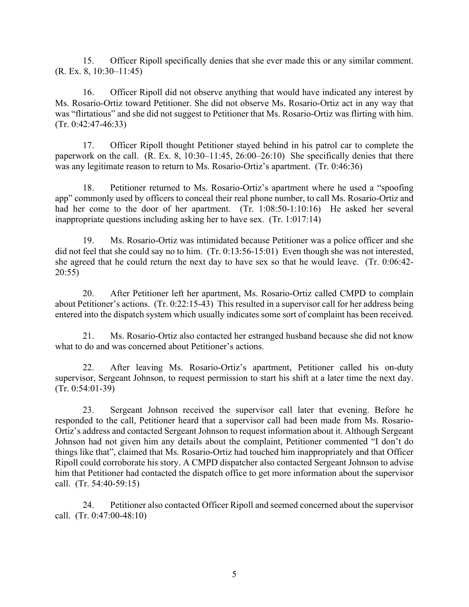15. Officer Ripoll specifically denies that she ever made this or any similar comment. (R. Ex. 8, 10:30–11:45)

16. Officer Ripoll did not observe anything that would have indicated any interest by Ms. Rosario-Ortiz toward Petitioner. She did not observe Ms. Rosario-Ortiz act in any way that was "flirtatious" and she did not suggest to Petitioner that Ms. Rosario-Ortiz was flirting with him.  $(Tr. 0:42:47-46:33)$ 

17. Officer Ripoll thought Petitioner stayed behind in his patrol car to complete the paperwork on the call.  $(R. Ex. 8, 10:30-11:45, 26:00-26:10)$  She specifically denies that there was any legitimate reason to return to Ms. Rosario-Ortiz's apartment. (Tr. 0:46:36)

18. Petitioner returned to Ms. Rosario-Ortiz's apartment where he used a "spoofing app" commonly used by officers to conceal their real phone number, to call Ms. Rosario-Ortiz and had her come to the door of her apartment. (Tr. 1:08:50-1:10:16) He asked her several inappropriate questions including asking her to have sex. (Tr. 1:017:14)

19. Ms. Rosario-Ortiz was intimidated because Petitioner was a police officer and she did not feel that she could say no to him. (Tr. 0:13:56-15:01) Even though she was not interested, she agreed that he could return the next day to have sex so that he would leave. (Tr. 0:06:42- 20:55)

20. After Petitioner left her apartment, Ms. Rosario-Ortiz called CMPD to complain about Petitioner's actions. (Tr. 0:22:15-43) This resulted in a supervisor call for her address being entered into the dispatch system which usually indicates some sort of complaint has been received.

21. Ms. Rosario-Ortiz also contacted her estranged husband because she did not know what to do and was concerned about Petitioner's actions.

22. After leaving Ms. Rosario-Ortiz's apartment, Petitioner called his on-duty supervisor, Sergeant Johnson, to request permission to start his shift at a later time the next day. (Tr. 0:54:01-39)

23. Sergeant Johnson received the supervisor call later that evening. Before he responded to the call, Petitioner heard that a supervisor call had been made from Ms. Rosario-Ortiz's address and contacted Sergeant Johnson to request information about it. Although Sergeant Johnson had not given him any details about the complaint, Petitioner commented "I don't do things like that", claimed that Ms. Rosario-Ortiz had touched him inappropriately and that Officer Ripoll could corroborate his story. A CMPD dispatcher also contacted Sergeant Johnson to advise him that Petitioner had contacted the dispatch office to get more information about the supervisor call. (Tr. 54:40-59:15)

24. Petitioner also contacted Officer Ripoll and seemed concerned about the supervisor call. (Tr. 0:47:00-48:10)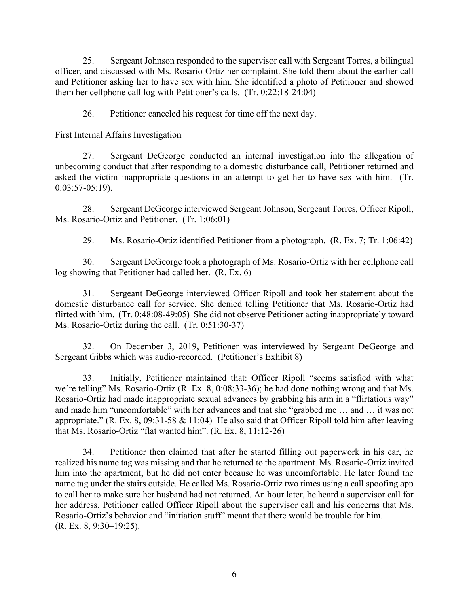25. Sergeant Johnson responded to the supervisor call with Sergeant Torres, a bilingual officer, and discussed with Ms. Rosario-Ortiz her complaint. She told them about the earlier call and Petitioner asking her to have sex with him. She identified a photo of Petitioner and showed them her cellphone call log with Petitioner's calls. (Tr. 0:22:18-24:04)

26. Petitioner canceled his request for time off the next day.

## First Internal Affairs Investigation

27. Sergeant DeGeorge conducted an internal investigation into the allegation of unbecoming conduct that after responding to a domestic disturbance call, Petitioner returned and asked the victim inappropriate questions in an attempt to get her to have sex with him. (Tr. 0:03:57-05:19).

28. Sergeant DeGeorge interviewed Sergeant Johnson, Sergeant Torres, Officer Ripoll, Ms. Rosario-Ortiz and Petitioner. (Tr. 1:06:01)

29. Ms. Rosario-Ortiz identified Petitioner from a photograph. (R. Ex. 7; Tr. 1:06:42)

30. Sergeant DeGeorge took a photograph of Ms. Rosario-Ortiz with her cellphone call log showing that Petitioner had called her. (R. Ex. 6)

31. Sergeant DeGeorge interviewed Officer Ripoll and took her statement about the domestic disturbance call for service. She denied telling Petitioner that Ms. Rosario-Ortiz had flirted with him. (Tr. 0:48:08-49:05) She did not observe Petitioner acting inappropriately toward Ms. Rosario-Ortiz during the call. (Tr. 0:51:30-37)

32. On December 3, 2019, Petitioner was interviewed by Sergeant DeGeorge and Sergeant Gibbs which was audio-recorded. (Petitioner's Exhibit 8)

33. Initially, Petitioner maintained that: Officer Ripoll "seems satisfied with what we're telling" Ms. Rosario-Ortiz (R. Ex. 8, 0:08:33-36); he had done nothing wrong and that Ms. Rosario-Ortiz had made inappropriate sexual advances by grabbing his arm in a "flirtatious way" and made him "uncomfortable" with her advances and that she "grabbed me … and … it was not appropriate." (R. Ex. 8, 09:31-58  $& 11:04$ ) He also said that Officer Ripoll told him after leaving that Ms. Rosario-Ortiz "flat wanted him". (R. Ex. 8, 11:12-26)

34. Petitioner then claimed that after he started filling out paperwork in his car, he realized his name tag was missing and that he returned to the apartment. Ms. Rosario-Ortiz invited him into the apartment, but he did not enter because he was uncomfortable. He later found the name tag under the stairs outside. He called Ms. Rosario-Ortiz two times using a call spoofing app to call her to make sure her husband had not returned. An hour later, he heard a supervisor call for her address. Petitioner called Officer Ripoll about the supervisor call and his concerns that Ms. Rosario-Ortiz's behavior and "initiation stuff" meant that there would be trouble for him. (R. Ex. 8, 9:30–19:25).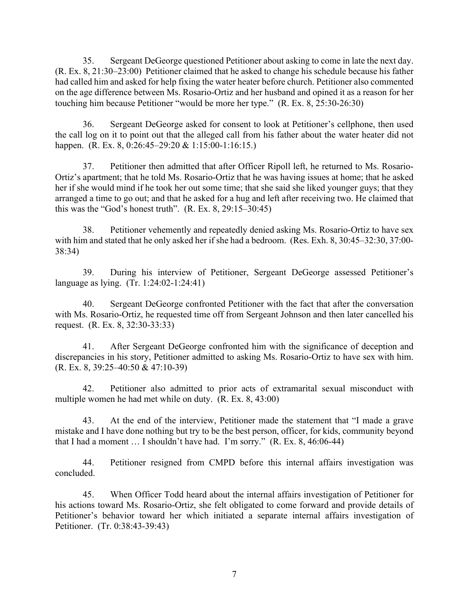35. Sergeant DeGeorge questioned Petitioner about asking to come in late the next day. (R. Ex. 8, 21:30–23:00) Petitioner claimed that he asked to change his schedule because his father had called him and asked for help fixing the water heater before church. Petitioner also commented on the age difference between Ms. Rosario-Ortiz and her husband and opined it as a reason for her touching him because Petitioner "would be more her type." (R. Ex. 8, 25:30-26:30)

36. Sergeant DeGeorge asked for consent to look at Petitioner's cellphone, then used the call log on it to point out that the alleged call from his father about the water heater did not happen. (R. Ex. 8, 0:26:45–29:20 & 1:15:00-1:16:15.)

37. Petitioner then admitted that after Officer Ripoll left, he returned to Ms. Rosario-Ortiz's apartment; that he told Ms. Rosario-Ortiz that he was having issues at home; that he asked her if she would mind if he took her out some time; that she said she liked younger guys; that they arranged a time to go out; and that he asked for a hug and left after receiving two. He claimed that this was the "God's honest truth". (R. Ex. 8, 29:15–30:45)

38. Petitioner vehemently and repeatedly denied asking Ms. Rosario-Ortiz to have sex with him and stated that he only asked her if she had a bedroom. (Res. Exh. 8, 30:45–32:30, 37:00- 38:34)

39. During his interview of Petitioner, Sergeant DeGeorge assessed Petitioner's language as lying. (Tr. 1:24:02-1:24:41)

40. Sergeant DeGeorge confronted Petitioner with the fact that after the conversation with Ms. Rosario-Ortiz, he requested time off from Sergeant Johnson and then later cancelled his request. (R. Ex. 8, 32:30-33:33)

41. After Sergeant DeGeorge confronted him with the significance of deception and discrepancies in his story, Petitioner admitted to asking Ms. Rosario-Ortiz to have sex with him. (R. Ex. 8, 39:25–40:50 & 47:10-39)

42. Petitioner also admitted to prior acts of extramarital sexual misconduct with multiple women he had met while on duty. (R. Ex. 8, 43:00)

43. At the end of the interview, Petitioner made the statement that "I made a grave mistake and I have done nothing but try to be the best person, officer, for kids, community beyond that I had a moment … I shouldn't have had. I'm sorry." (R. Ex. 8, 46:06-44)

44. Petitioner resigned from CMPD before this internal affairs investigation was concluded.

45. When Officer Todd heard about the internal affairs investigation of Petitioner for his actions toward Ms. Rosario-Ortiz, she felt obligated to come forward and provide details of Petitioner's behavior toward her which initiated a separate internal affairs investigation of Petitioner. (Tr. 0:38:43-39:43)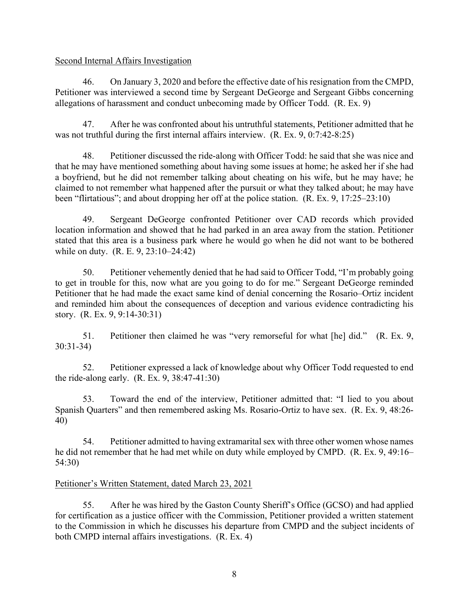#### Second Internal Affairs Investigation

46. On January 3, 2020 and before the effective date of his resignation from the CMPD, Petitioner was interviewed a second time by Sergeant DeGeorge and Sergeant Gibbs concerning allegations of harassment and conduct unbecoming made by Officer Todd. (R. Ex. 9)

47. After he was confronted about his untruthful statements, Petitioner admitted that he was not truthful during the first internal affairs interview. (R. Ex. 9, 0:7:42-8:25)

48. Petitioner discussed the ride-along with Officer Todd: he said that she was nice and that he may have mentioned something about having some issues at home; he asked her if she had a boyfriend, but he did not remember talking about cheating on his wife, but he may have; he claimed to not remember what happened after the pursuit or what they talked about; he may have been "flirtatious"; and about dropping her off at the police station. (R. Ex. 9, 17:25–23:10)

49. Sergeant DeGeorge confronted Petitioner over CAD records which provided location information and showed that he had parked in an area away from the station. Petitioner stated that this area is a business park where he would go when he did not want to be bothered while on duty. (R. E. 9, 23:10–24:42)

50. Petitioner vehemently denied that he had said to Officer Todd, "I'm probably going to get in trouble for this, now what are you going to do for me." Sergeant DeGeorge reminded Petitioner that he had made the exact same kind of denial concerning the Rosario–Ortiz incident and reminded him about the consequences of deception and various evidence contradicting his story. (R. Ex. 9, 9:14-30:31)

51. Petitioner then claimed he was "very remorseful for what [he] did." (R. Ex. 9, 30:31-34)

52. Petitioner expressed a lack of knowledge about why Officer Todd requested to end the ride-along early. (R. Ex. 9, 38:47-41:30)

53. Toward the end of the interview, Petitioner admitted that: "I lied to you about Spanish Quarters" and then remembered asking Ms. Rosario-Ortiz to have sex. (R. Ex. 9, 48:26- 40)

54. Petitioner admitted to having extramarital sex with three other women whose names he did not remember that he had met while on duty while employed by CMPD. (R. Ex. 9, 49:16– 54:30)

## Petitioner's Written Statement, dated March 23, 2021

55. After he was hired by the Gaston County Sheriff's Office (GCSO) and had applied for certification as a justice officer with the Commission, Petitioner provided a written statement to the Commission in which he discusses his departure from CMPD and the subject incidents of both CMPD internal affairs investigations. (R. Ex. 4)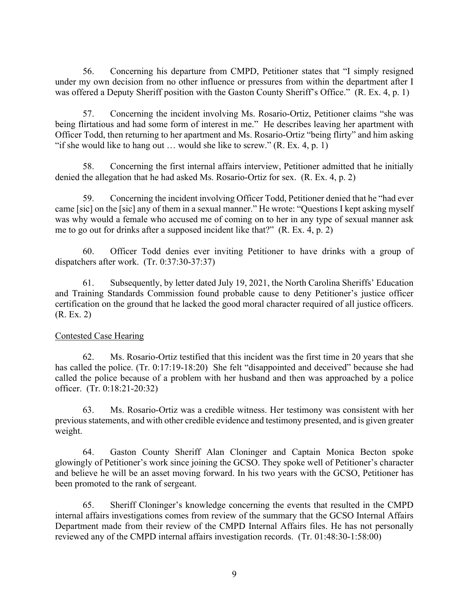56. Concerning his departure from CMPD, Petitioner states that "I simply resigned under my own decision from no other influence or pressures from within the department after I was offered a Deputy Sheriff position with the Gaston County Sheriff's Office." (R. Ex. 4, p. 1)

57. Concerning the incident involving Ms. Rosario-Ortiz, Petitioner claims "she was being flirtatious and had some form of interest in me." He describes leaving her apartment with Officer Todd, then returning to her apartment and Ms. Rosario-Ortiz "being flirty" and him asking "if she would like to hang out  $\ldots$  would she like to screw." (R. Ex. 4, p. 1)

58. Concerning the first internal affairs interview, Petitioner admitted that he initially denied the allegation that he had asked Ms. Rosario-Ortiz for sex. (R. Ex. 4, p. 2)

59. Concerning the incident involving Officer Todd, Petitioner denied that he "had ever came [sic] on the [sic] any of them in a sexual manner." He wrote: "Questions I kept asking myself was why would a female who accused me of coming on to her in any type of sexual manner ask me to go out for drinks after a supposed incident like that?" (R. Ex. 4, p. 2)

60. Officer Todd denies ever inviting Petitioner to have drinks with a group of dispatchers after work. (Tr. 0:37:30-37:37)

61. Subsequently, by letter dated July 19, 2021, the North Carolina Sheriffs' Education and Training Standards Commission found probable cause to deny Petitioner's justice officer certification on the ground that he lacked the good moral character required of all justice officers. (R. Ex. 2)

## Contested Case Hearing

62. Ms. Rosario-Ortiz testified that this incident was the first time in 20 years that she has called the police. (Tr. 0:17:19-18:20) She felt "disappointed and deceived" because she had called the police because of a problem with her husband and then was approached by a police officer. (Tr. 0:18:21-20:32)

63. Ms. Rosario-Ortiz was a credible witness. Her testimony was consistent with her previousstatements, and with other credible evidence and testimony presented, and is given greater weight.

64. Gaston County Sheriff Alan Cloninger and Captain Monica Becton spoke glowingly of Petitioner's work since joining the GCSO. They spoke well of Petitioner's character and believe he will be an asset moving forward. In his two years with the GCSO, Petitioner has been promoted to the rank of sergeant.

65. Sheriff Cloninger's knowledge concerning the events that resulted in the CMPD internal affairs investigations comes from review of the summary that the GCSO Internal Affairs Department made from their review of the CMPD Internal Affairs files. He has not personally reviewed any of the CMPD internal affairs investigation records. (Tr. 01:48:30-1:58:00)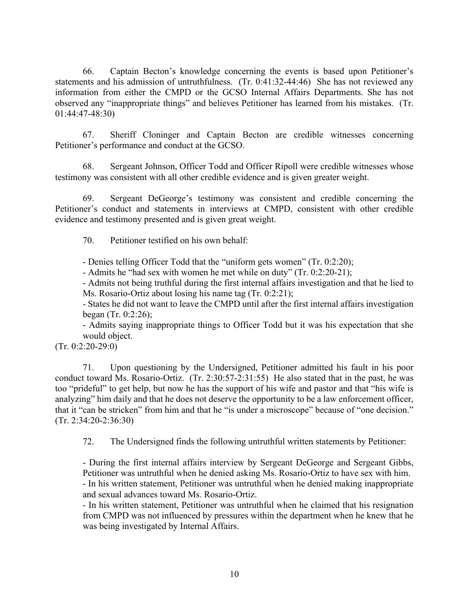66. Captain Becton's knowledge concerning the events is based upon Petitioner's statements and his admission of untruthfulness. (Tr. 0:41:32-44:46) She has not reviewed any information from either the CMPD or the GCSO Internal Affairs Departments. She has not observed any "inappropriate things" and believes Petitioner has learned from his mistakes. (Tr. 01:44:47-48:30)

67. Sheriff Cloninger and Captain Becton are credible witnesses concerning Petitioner's performance and conduct at the GCSO.

68. Sergeant Johnson, Officer Todd and Officer Ripoll were credible witnesses whose testimony was consistent with all other credible evidence and is given greater weight.

69. Sergeant DeGeorge's testimony was consistent and credible concerning the Petitioner's conduct and statements in interviews at CMPD, consistent with other credible evidence and testimony presented and is given great weight.

70. Petitioner testified on his own behalf:

- Denies telling Officer Todd that the "uniform gets women" (Tr. 0:2:20);

- Admits he "had sex with women he met while on duty" (Tr. 0:2:20-21);

- Admits not being truthful during the first internal affairs investigation and that he lied to Ms. Rosario-Ortiz about losing his name tag (Tr. 0:2:21);

- States he did not want to leave the CMPD until after the first internal affairs investigation began (Tr. 0:2:26);

- Admits saying inappropriate things to Officer Todd but it was his expectation that she would object.

 $(Tr. 0:2:20-29:0)$ 

71. Upon questioning by the Undersigned, Petitioner admitted his fault in his poor conduct toward Ms. Rosario-Ortiz. (Tr. 2:30:57-2:31:55) He also stated that in the past, he was too "prideful" to get help, but now he has the support of his wife and pastor and that "his wife is analyzing" him daily and that he does not deserve the opportunity to be a law enforcement officer, that it "can be stricken" from him and that he "is under a microscope" because of "one decision." (Tr. 2:34:20-2:36:30)

72. The Undersigned finds the following untruthful written statements by Petitioner:

- During the first internal affairs interview by Sergeant DeGeorge and Sergeant Gibbs, Petitioner was untruthful when he denied asking Ms. Rosario-Ortiz to have sex with him. - In his written statement, Petitioner was untruthful when he denied making inappropriate and sexual advances toward Ms. Rosario-Ortiz.

- In his written statement, Petitioner was untruthful when he claimed that his resignation from CMPD was not influenced by pressures within the department when he knew that he was being investigated by Internal Affairs.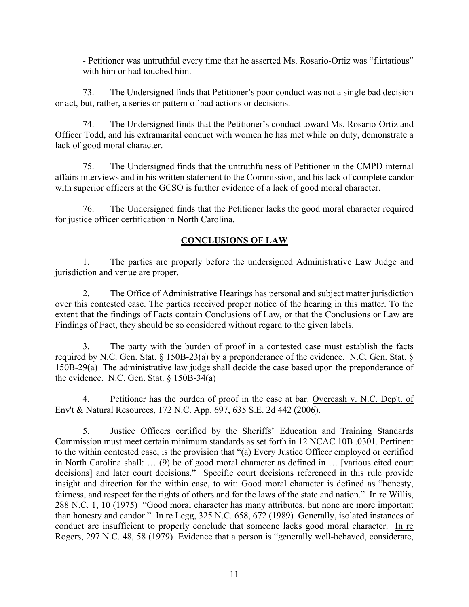- Petitioner was untruthful every time that he asserted Ms. Rosario-Ortiz was "flirtatious" with him or had touched him.

73. The Undersigned finds that Petitioner's poor conduct was not a single bad decision or act, but, rather, a series or pattern of bad actions or decisions.

74. The Undersigned finds that the Petitioner's conduct toward Ms. Rosario-Ortiz and Officer Todd, and his extramarital conduct with women he has met while on duty, demonstrate a lack of good moral character.

75. The Undersigned finds that the untruthfulness of Petitioner in the CMPD internal affairs interviews and in his written statement to the Commission, and his lack of complete candor with superior officers at the GCSO is further evidence of a lack of good moral character.

76. The Undersigned finds that the Petitioner lacks the good moral character required for justice officer certification in North Carolina.

## **CONCLUSIONS OF LAW**

1. The parties are properly before the undersigned Administrative Law Judge and jurisdiction and venue are proper.

2. The Office of Administrative Hearings has personal and subject matter jurisdiction over this contested case. The parties received proper notice of the hearing in this matter. To the extent that the findings of Facts contain Conclusions of Law, or that the Conclusions or Law are Findings of Fact, they should be so considered without regard to the given labels.

3. The party with the burden of proof in a contested case must establish the facts required by N.C. Gen. Stat. § 150B-23(a) by a preponderance of the evidence. N.C. Gen. Stat. § 150B-29(a) The administrative law judge shall decide the case based upon the preponderance of the evidence. N.C. Gen. Stat.  $\S$  150B-34(a)

4. Petitioner has the burden of proof in the case at bar. Overcash v. N.C. Dep't. of Env't & Natural Resources, 172 N.C. App. 697, 635 S.E. 2d 442 (2006).

5. Justice Officers certified by the Sheriffs' Education and Training Standards Commission must meet certain minimum standards as set forth in 12 NCAC 10B .0301. Pertinent to the within contested case, is the provision that "(a) Every Justice Officer employed or certified in North Carolina shall: … (9) be of good moral character as defined in … [various cited court decisions] and later court decisions." Specific court decisions referenced in this rule provide insight and direction for the within case, to wit: Good moral character is defined as "honesty, fairness, and respect for the rights of others and for the laws of the state and nation." In re Willis, 288 N.C. 1, 10 (1975) "Good moral character has many attributes, but none are more important than honesty and candor." In re Legg, 325 N.C. 658, 672 (1989) Generally, isolated instances of conduct are insufficient to properly conclude that someone lacks good moral character. In re Rogers, 297 N.C. 48, 58 (1979) Evidence that a person is "generally well-behaved, considerate,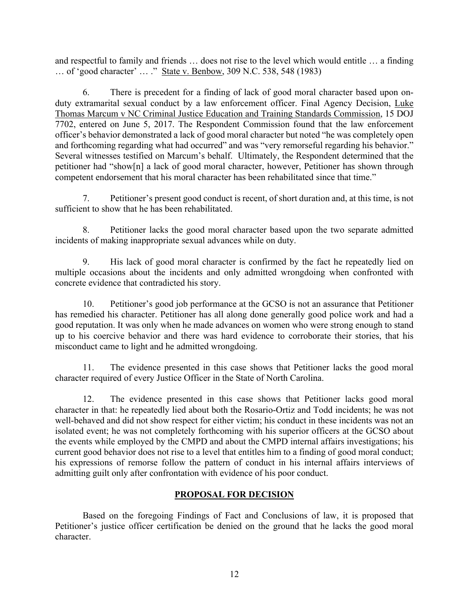and respectful to family and friends … does not rise to the level which would entitle … a finding … of 'good character' … ." State v. Benbow, 309 N.C. 538, 548 (1983)

6. There is precedent for a finding of lack of good moral character based upon onduty extramarital sexual conduct by a law enforcement officer. Final Agency Decision, Luke Thomas Marcum v NC Criminal Justice Education and Training Standards Commission, 15 DOJ 7702, entered on June 5, 2017. The Respondent Commission found that the law enforcement officer's behavior demonstrated a lack of good moral character but noted "he was completely open and forthcoming regarding what had occurred" and was "very remorseful regarding his behavior." Several witnesses testified on Marcum's behalf. Ultimately, the Respondent determined that the petitioner had "show[n] a lack of good moral character, however, Petitioner has shown through competent endorsement that his moral character has been rehabilitated since that time."

7. Petitioner's present good conduct is recent, of short duration and, at this time, is not sufficient to show that he has been rehabilitated.

8. Petitioner lacks the good moral character based upon the two separate admitted incidents of making inappropriate sexual advances while on duty.

9. His lack of good moral character is confirmed by the fact he repeatedly lied on multiple occasions about the incidents and only admitted wrongdoing when confronted with concrete evidence that contradicted his story.

10. Petitioner's good job performance at the GCSO is not an assurance that Petitioner has remedied his character. Petitioner has all along done generally good police work and had a good reputation. It was only when he made advances on women who were strong enough to stand up to his coercive behavior and there was hard evidence to corroborate their stories, that his misconduct came to light and he admitted wrongdoing.

11. The evidence presented in this case shows that Petitioner lacks the good moral character required of every Justice Officer in the State of North Carolina.

12. The evidence presented in this case shows that Petitioner lacks good moral character in that: he repeatedly lied about both the Rosario-Ortiz and Todd incidents; he was not well-behaved and did not show respect for either victim; his conduct in these incidents was not an isolated event; he was not completely forthcoming with his superior officers at the GCSO about the events while employed by the CMPD and about the CMPD internal affairs investigations; his current good behavior does not rise to a level that entitles him to a finding of good moral conduct; his expressions of remorse follow the pattern of conduct in his internal affairs interviews of admitting guilt only after confrontation with evidence of his poor conduct.

## **PROPOSAL FOR DECISION**

Based on the foregoing Findings of Fact and Conclusions of law, it is proposed that Petitioner's justice officer certification be denied on the ground that he lacks the good moral character.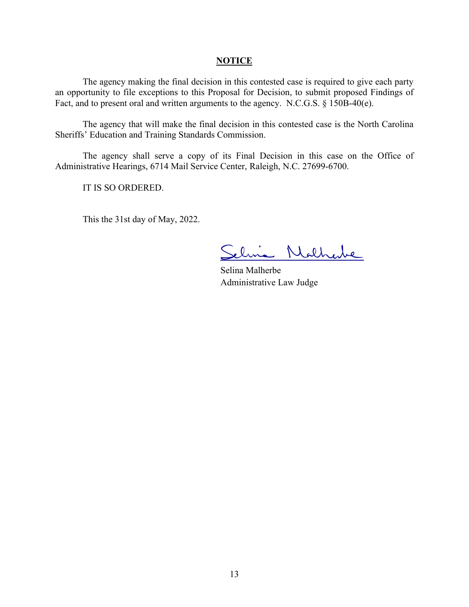#### **NOTICE**

The agency making the final decision in this contested case is required to give each party an opportunity to file exceptions to this Proposal for Decision, to submit proposed Findings of Fact, and to present oral and written arguments to the agency. N.C.G.S. § 150B-40(e).

The agency that will make the final decision in this contested case is the North Carolina Sheriffs' Education and Training Standards Commission.

The agency shall serve a copy of its Final Decision in this case on the Office of Administrative Hearings, 6714 Mail Service Center, Raleigh, N.C. 27699-6700.

IT IS SO ORDERED.

This the 31st day of May, 2022.

lina Natharle

Selina Malherbe Administrative Law Judge